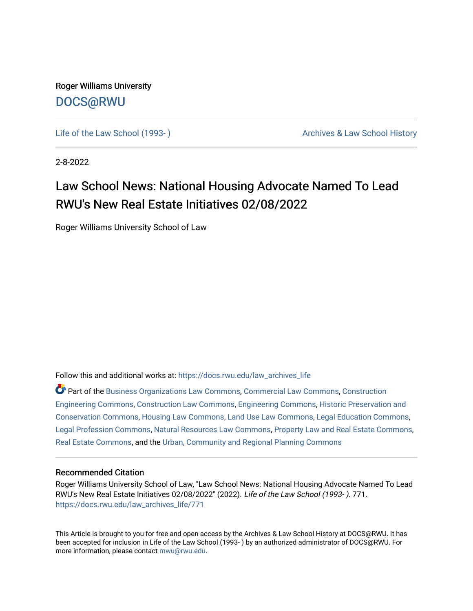Roger Williams University [DOCS@RWU](https://docs.rwu.edu/)

Life of the Law School (1993-) Cases Archives & Law School History

2-8-2022

## Law School News: National Housing Advocate Named To Lead RWU's New Real Estate Initiatives 02/08/2022

Roger Williams University School of Law

Follow this and additional works at: [https://docs.rwu.edu/law\\_archives\\_life](https://docs.rwu.edu/law_archives_life?utm_source=docs.rwu.edu%2Flaw_archives_life%2F771&utm_medium=PDF&utm_campaign=PDFCoverPages)

Part of the [Business Organizations Law Commons](http://network.bepress.com/hgg/discipline/900?utm_source=docs.rwu.edu%2Flaw_archives_life%2F771&utm_medium=PDF&utm_campaign=PDFCoverPages), [Commercial Law Commons,](http://network.bepress.com/hgg/discipline/586?utm_source=docs.rwu.edu%2Flaw_archives_life%2F771&utm_medium=PDF&utm_campaign=PDFCoverPages) [Construction](http://network.bepress.com/hgg/discipline/775?utm_source=docs.rwu.edu%2Flaw_archives_life%2F771&utm_medium=PDF&utm_campaign=PDFCoverPages)  [Engineering Commons,](http://network.bepress.com/hgg/discipline/775?utm_source=docs.rwu.edu%2Flaw_archives_life%2F771&utm_medium=PDF&utm_campaign=PDFCoverPages) [Construction Law Commons,](http://network.bepress.com/hgg/discipline/590?utm_source=docs.rwu.edu%2Flaw_archives_life%2F771&utm_medium=PDF&utm_campaign=PDFCoverPages) [Engineering Commons](http://network.bepress.com/hgg/discipline/217?utm_source=docs.rwu.edu%2Flaw_archives_life%2F771&utm_medium=PDF&utm_campaign=PDFCoverPages), [Historic Preservation and](http://network.bepress.com/hgg/discipline/781?utm_source=docs.rwu.edu%2Flaw_archives_life%2F771&utm_medium=PDF&utm_campaign=PDFCoverPages)  [Conservation Commons](http://network.bepress.com/hgg/discipline/781?utm_source=docs.rwu.edu%2Flaw_archives_life%2F771&utm_medium=PDF&utm_campaign=PDFCoverPages), [Housing Law Commons](http://network.bepress.com/hgg/discipline/846?utm_source=docs.rwu.edu%2Flaw_archives_life%2F771&utm_medium=PDF&utm_campaign=PDFCoverPages), [Land Use Law Commons,](http://network.bepress.com/hgg/discipline/852?utm_source=docs.rwu.edu%2Flaw_archives_life%2F771&utm_medium=PDF&utm_campaign=PDFCoverPages) [Legal Education Commons,](http://network.bepress.com/hgg/discipline/857?utm_source=docs.rwu.edu%2Flaw_archives_life%2F771&utm_medium=PDF&utm_campaign=PDFCoverPages) [Legal Profession Commons](http://network.bepress.com/hgg/discipline/1075?utm_source=docs.rwu.edu%2Flaw_archives_life%2F771&utm_medium=PDF&utm_campaign=PDFCoverPages), [Natural Resources Law Commons,](http://network.bepress.com/hgg/discipline/863?utm_source=docs.rwu.edu%2Flaw_archives_life%2F771&utm_medium=PDF&utm_campaign=PDFCoverPages) [Property Law and Real Estate Commons,](http://network.bepress.com/hgg/discipline/897?utm_source=docs.rwu.edu%2Flaw_archives_life%2F771&utm_medium=PDF&utm_campaign=PDFCoverPages) [Real Estate Commons,](http://network.bepress.com/hgg/discipline/641?utm_source=docs.rwu.edu%2Flaw_archives_life%2F771&utm_medium=PDF&utm_campaign=PDFCoverPages) and the [Urban, Community and Regional Planning Commons](http://network.bepress.com/hgg/discipline/776?utm_source=docs.rwu.edu%2Flaw_archives_life%2F771&utm_medium=PDF&utm_campaign=PDFCoverPages) 

## Recommended Citation

Roger Williams University School of Law, "Law School News: National Housing Advocate Named To Lead RWU's New Real Estate Initiatives 02/08/2022" (2022). Life of the Law School (1993- ). 771. [https://docs.rwu.edu/law\\_archives\\_life/771](https://docs.rwu.edu/law_archives_life/771?utm_source=docs.rwu.edu%2Flaw_archives_life%2F771&utm_medium=PDF&utm_campaign=PDFCoverPages)

This Article is brought to you for free and open access by the Archives & Law School History at DOCS@RWU. It has been accepted for inclusion in Life of the Law School (1993- ) by an authorized administrator of DOCS@RWU. For more information, please contact [mwu@rwu.edu](mailto:mwu@rwu.edu).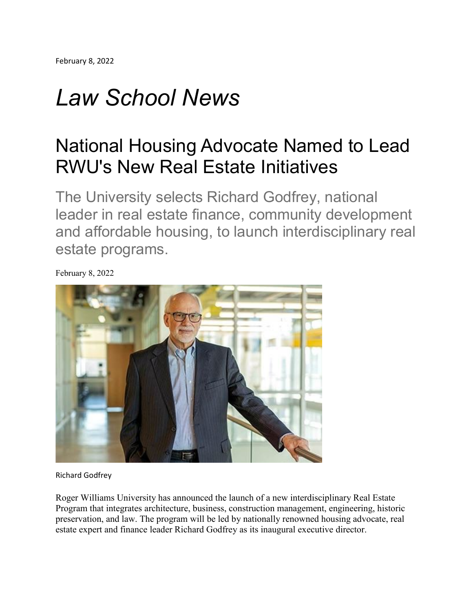## *Law School News*

## National Housing Advocate Named to Lead RWU's New Real Estate Initiatives

The University selects Richard Godfrey, national leader in real estate finance, community development and affordable housing, to launch interdisciplinary real estate programs.

February 8, 2022

Richard Godfrey

Roger Williams University has announced the launch of a new interdisciplinary Real Estate Program that integrates architecture, business, construction management, engineering, historic preservation, and law. The program will be led by nationally renowned housing advocate, real estate expert and finance leader Richard Godfrey as its inaugural executive director.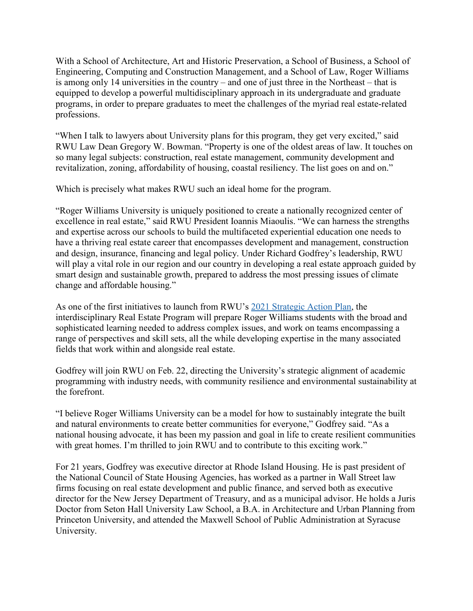With a School of Architecture, Art and Historic Preservation, a School of Business, a School of Engineering, Computing and Construction Management, and a School of Law, Roger Williams is among only 14 universities in the country – and one of just three in the Northeast – that is equipped to develop a powerful multidisciplinary approach in its undergraduate and graduate programs, in order to prepare graduates to meet the challenges of the myriad real estate-related professions.

"When I talk to lawyers about University plans for this program, they get very excited," said RWU Law Dean Gregory W. Bowman. "Property is one of the oldest areas of law. It touches on so many legal subjects: construction, real estate management, community development and revitalization, zoning, affordability of housing, coastal resiliency. The list goes on and on."

Which is precisely what makes RWU such an ideal home for the program.

"Roger Williams University is uniquely positioned to create a nationally recognized center of excellence in real estate," said RWU President Ioannis Miaoulis. "We can harness the strengths and expertise across our schools to build the multifaceted experiential education one needs to have a thriving real estate career that encompasses development and management, construction and design, insurance, financing and legal policy. Under Richard Godfrey's leadership, RWU will play a vital role in our region and our country in developing a real estate approach guided by smart design and sustainable growth, prepared to address the most pressing issues of climate change and affordable housing."

As one of the first initiatives to launch from RWU's 2021 [Strategic](https://nam02.safelinks.protection.outlook.com/?url=https%3A%2F%2Fwww.rwu.edu%2Fwho-we-are%2Fstrategic-action-plan%2Facademic-excellence&data=04%7C01%7Cmbowden%40rwu.edu%7Ce2d1bb0d43b44b4cc1ed08d9e4c6d8c8%7Cd84edea239e2410aa672331c49c8c4e2%7C0%7C0%7C637792364995558314%7CUnknown%7CTWFpbGZsb3d8eyJWIjoiMC4wLjAwMDAiLCJQIjoiV2luMzIiLCJBTiI6Ik1haWwiLCJXVCI6Mn0%3D%7C3000&sdata=1e1JzXZYf2UpgdYSHtrF2gdGCXYZENvDyfDdEfb8dV0%3D&reserved=0) Action Plan, the interdisciplinary Real Estate Program will prepare Roger Williams students with the broad and sophisticated learning needed to address complex issues, and work on teams encompassing a range of perspectives and skill sets, all the while developing expertise in the many associated fields that work within and alongside real estate.

Godfrey will join RWU on Feb. 22, directing the University's strategic alignment of academic programming with industry needs, with community resilience and environmental sustainability at the forefront.

"I believe Roger Williams University can be a model for how to sustainably integrate the built and natural environments to create better communities for everyone," Godfrey said. "As a national housing advocate, it has been my passion and goal in life to create resilient communities with great homes. I'm thrilled to join RWU and to contribute to this exciting work."

For 21 years, Godfrey was executive director at Rhode Island Housing. He is past president of the National Council of State Housing Agencies, has worked as a partner in Wall Street law firms focusing on real estate development and public finance, and served both as executive director for the New Jersey Department of Treasury, and as a municipal advisor. He holds a Juris Doctor from Seton Hall University Law School, a B.A. in Architecture and Urban Planning from Princeton University, and attended the Maxwell School of Public Administration at Syracuse University.